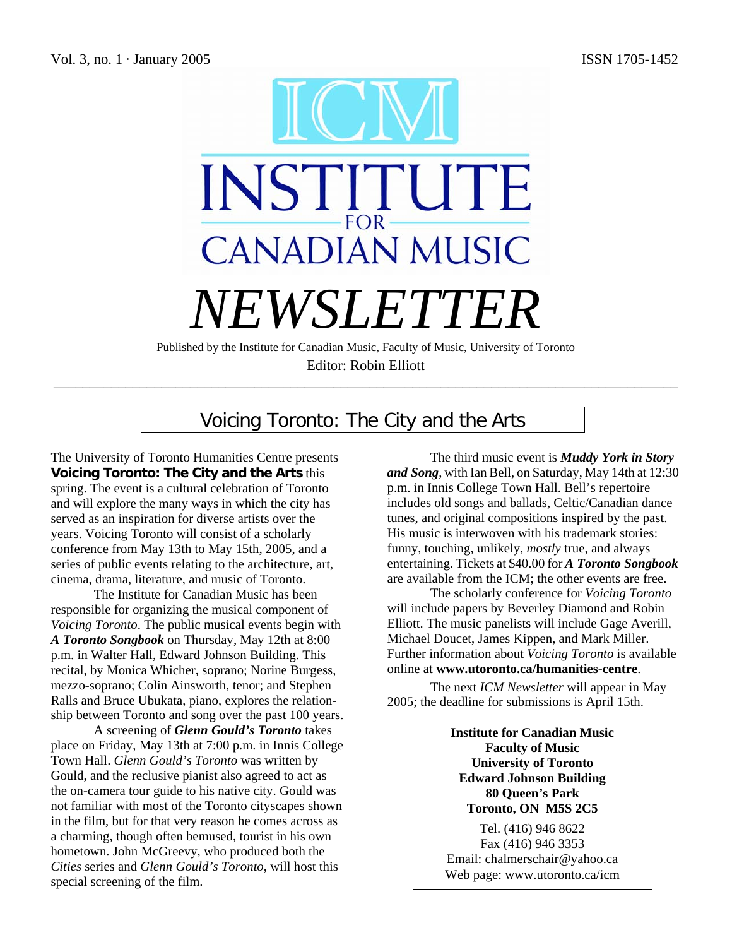

Editor: Robin Elliott

\_\_\_\_\_\_\_\_\_\_\_\_\_\_\_\_\_\_\_\_\_\_\_\_\_\_\_\_\_\_\_\_\_\_\_\_\_\_\_\_\_\_\_\_\_\_\_\_\_\_\_\_\_\_\_\_\_\_\_\_\_\_\_\_\_\_\_\_\_\_\_\_\_\_\_\_\_\_\_\_\_\_\_\_\_\_\_

# Voicing Toronto: The City and the Arts

The University of Toronto Humanities Centre presents **Voicing Toronto: The City and the Arts** this spring. The event is a cultural celebration of Toronto and will explore the many ways in which the city has served as an inspiration for diverse artists over the years. Voicing Toronto will consist of a scholarly conference from May 13th to May 15th, 2005, and a series of public events relating to the architecture, art, cinema, drama, literature, and music of Toronto.

The Institute for Canadian Music has been responsible for organizing the musical component of *Voicing Toronto*. The public musical events begin with *A Toronto Songbook* on Thursday, May 12th at 8:00 p.m. in Walter Hall, Edward Johnson Building. This recital, by Monica Whicher, soprano; Norine Burgess, mezzo-soprano; Colin Ainsworth, tenor; and Stephen Ralls and Bruce Ubukata, piano, explores the relationship between Toronto and song over the past 100 years.

A screening of *Glenn Gould's Toronto* takes place on Friday, May 13th at 7:00 p.m. in Innis College Town Hall. *Glenn Gould's Toronto* was written by Gould, and the reclusive pianist also agreed to act as the on-camera tour guide to his native city. Gould was not familiar with most of the Toronto cityscapes shown in the film, but for that very reason he comes across as a charming, though often bemused, tourist in his own hometown. John McGreevy, who produced both the *Cities* series and *Glenn Gould's Toronto*, will host this special screening of the film.

The third music event is *Muddy York in Story and Song*, with Ian Bell, on Saturday, May 14th at 12:30 p.m. in Innis College Town Hall. Bell's repertoire includes old songs and ballads, Celtic/Canadian dance tunes, and original compositions inspired by the past. His music is interwoven with his trademark stories: funny, touching, unlikely, *mostly* true, and always entertaining. Tickets at \$40.00 for *A Toronto Songbook* are available from the ICM; the other events are free.

The scholarly conference for *Voicing Toronto* will include papers by Beverley Diamond and Robin Elliott. The music panelists will include Gage Averill, Michael Doucet, James Kippen, and Mark Miller. Further information about *Voicing Toronto* is available online at **www.utoronto.ca/humanities-centre**.

The next *ICM Newsletter* will appear in May 2005; the deadline for submissions is April 15th.

> **Institute for Canadian Music Faculty of Music University of Toronto Edward Johnson Building 80 Queen's Park Toronto, ON M5S 2C5**

Tel. (416) 946 8622 Fax (416) 946 3353 Email: chalmerschair@yahoo.ca Web page: www.utoronto.ca/icm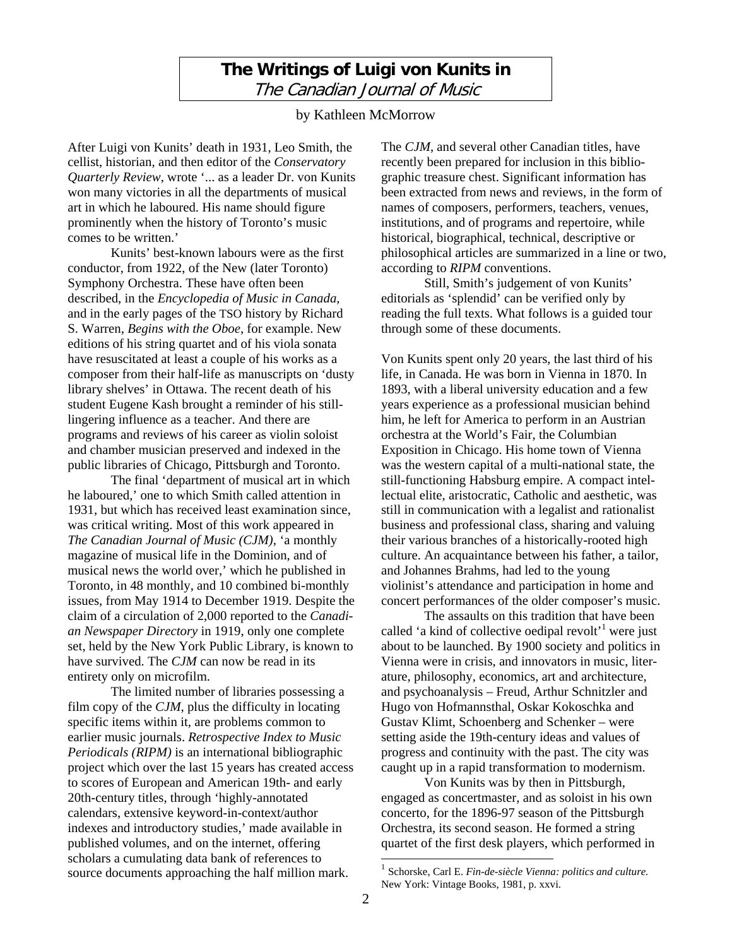# **The Writings of Luigi von Kunits in**  The Canadian Journal of Music

by Kathleen McMorrow

After Luigi von Kunits' death in 1931, Leo Smith, the cellist, historian, and then editor of the *Conservatory Quarterly Review,* wrote '... as a leader Dr. von Kunits won many victories in all the departments of musical art in which he laboured. His name should figure prominently when the history of Toronto's music comes to be written.'

Kunits' best-known labours were as the first conductor, from 1922, of the New (later Toronto) Symphony Orchestra. These have often been described, in the *Encyclopedia of Music in Canada,* and in the early pages of the TSO history by Richard S. Warren, *Begins with the Oboe*, for example. New editions of his string quartet and of his viola sonata have resuscitated at least a couple of his works as a composer from their half-life as manuscripts on 'dusty library shelves' in Ottawa. The recent death of his student Eugene Kash brought a reminder of his stilllingering influence as a teacher. And there are programs and reviews of his career as violin soloist and chamber musician preserved and indexed in the public libraries of Chicago, Pittsburgh and Toronto.

The final 'department of musical art in which he laboured,' one to which Smith called attention in 1931, but which has received least examination since, was critical writing. Most of this work appeared in *The Canadian Journal of Music (CJM),* 'a monthly magazine of musical life in the Dominion, and of musical news the world over,' which he published in Toronto, in 48 monthly, and 10 combined bi-monthly issues, from May 1914 to December 1919. Despite the claim of a circulation of 2,000 reported to the *Canadian Newspaper Directory* in 1919, only one complete set, held by the New York Public Library, is known to have survived. The *CJM* can now be read in its entirety only on microfilm.

The limited number of libraries possessing a film copy of the *CJM,* plus the difficulty in locating specific items within it, are problems common to earlier music journals. *Retrospective Index to Music Periodicals (RIPM)* is an international bibliographic project which over the last 15 years has created access to scores of European and American 19th- and early 20th-century titles, through 'highly-annotated calendars, extensive keyword-in-context/author indexes and introductory studies,' made available in published volumes, and on the internet, offering scholars a cumulating data bank of references to source documents approaching the half million mark.

The *CJM*, and several other Canadian titles, have recently been prepared for inclusion in this bibliographic treasure chest. Significant information has been extracted from news and reviews, in the form of names of composers, performers, teachers, venues, institutions, and of programs and repertoire, while historical, biographical, technical, descriptive or philosophical articles are summarized in a line or two, according to *RIPM* conventions.

Still, Smith's judgement of von Kunits' editorials as 'splendid' can be verified only by reading the full texts. What follows is a guided tour through some of these documents.

Von Kunits spent only 20 years, the last third of his life, in Canada. He was born in Vienna in 1870. In 1893, with a liberal university education and a few years experience as a professional musician behind him, he left for America to perform in an Austrian orchestra at the World's Fair, the Columbian Exposition in Chicago. His home town of Vienna was the western capital of a multi-national state, the still-functioning Habsburg empire. A compact intellectual elite, aristocratic, Catholic and aesthetic, was still in communication with a legalist and rationalist business and professional class, sharing and valuing their various branches of a historically-rooted high culture. An acquaintance between his father, a tailor, and Johannes Brahms, had led to the young violinist's attendance and participation in home and concert performances of the older composer's music.

The assaults on this tradition that have been called 'a kind of collective oedipal revolt<sup>'1</sup> were just about to be launched. By 1900 society and politics in Vienna were in crisis, and innovators in music, literature, philosophy, economics, art and architecture, and psychoanalysis – Freud, Arthur Schnitzler and Hugo von Hofmannsthal, Oskar Kokoschka and Gustav Klimt, Schoenberg and Schenker – were setting aside the 19th-century ideas and values of progress and continuity with the past. The city was caught up in a rapid transformation to modernism.

Von Kunits was by then in Pittsburgh, engaged as concertmaster, and as soloist in his own concerto, for the 1896-97 season of the Pittsburgh Orchestra, its second season. He formed a string quartet of the first desk players, which performed in

-

<sup>1</sup> Schorske, Carl E. *Fin-de-siècle Vienna: politics and culture.* New York: Vintage Books, 1981, p. xxvi.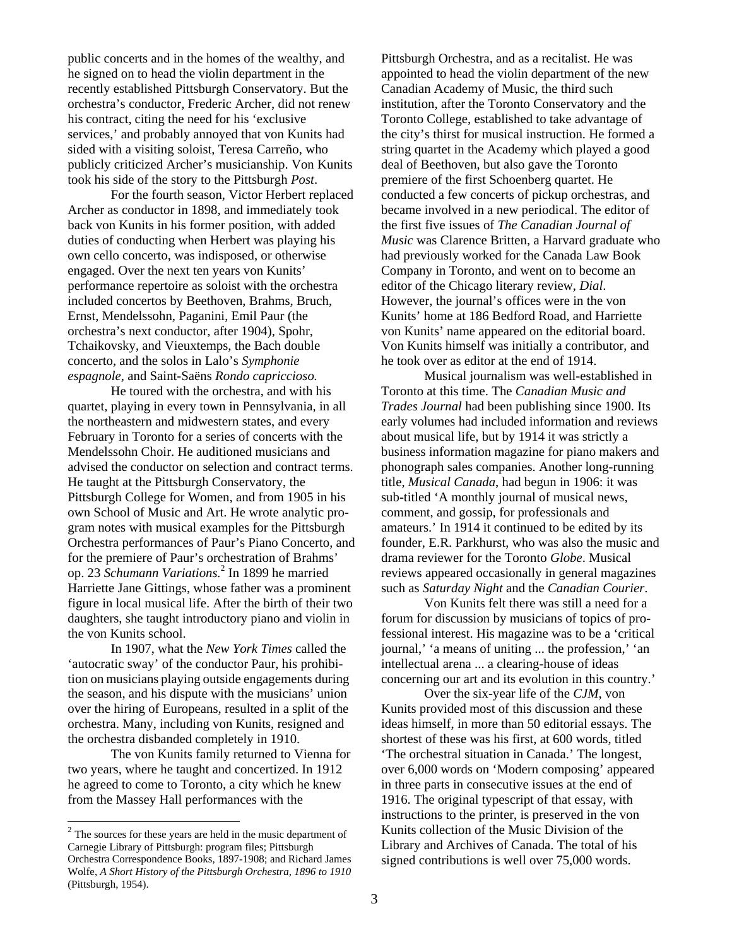public concerts and in the homes of the wealthy, and he signed on to head the violin department in the recently established Pittsburgh Conservatory. But the orchestra's conductor, Frederic Archer, did not renew his contract, citing the need for his 'exclusive services,' and probably annoyed that von Kunits had sided with a visiting soloist, Teresa Carreño, who publicly criticized Archer's musicianship. Von Kunits took his side of the story to the Pittsburgh *Post*.

For the fourth season, Victor Herbert replaced Archer as conductor in 1898, and immediately took back von Kunits in his former position, with added duties of conducting when Herbert was playing his own cello concerto, was indisposed, or otherwise engaged. Over the next ten years von Kunits' performance repertoire as soloist with the orchestra included concertos by Beethoven, Brahms, Bruch, Ernst, Mendelssohn, Paganini, Emil Paur (the orchestra's next conductor, after 1904), Spohr, Tchaikovsky, and Vieuxtemps, the Bach double concerto, and the solos in Lalo's *Symphonie espagnole*, and Saint-Saëns *Rondo capriccioso.*

He toured with the orchestra, and with his quartet, playing in every town in Pennsylvania, in all the northeastern and midwestern states, and every February in Toronto for a series of concerts with the Mendelssohn Choir. He auditioned musicians and advised the conductor on selection and contract terms. He taught at the Pittsburgh Conservatory, the Pittsburgh College for Women, and from 1905 in his own School of Music and Art. He wrote analytic program notes with musical examples for the Pittsburgh Orchestra performances of Paur's Piano Concerto, and for the premiere of Paur's orchestration of Brahms' op. 23 *Schumann Variations.*<sup>2</sup> In 1899 he married Harriette Jane Gittings, whose father was a prominent figure in local musical life. After the birth of their two daughters, she taught introductory piano and violin in the von Kunits school.

In 1907, what the *New York Times* called the 'autocratic sway' of the conductor Paur, his prohibition on musicians playing outside engagements during the season, and his dispute with the musicians' union over the hiring of Europeans, resulted in a split of the orchestra. Many, including von Kunits, resigned and the orchestra disbanded completely in 1910.

The von Kunits family returned to Vienna for two years, where he taught and concertized. In 1912 he agreed to come to Toronto, a city which he knew from the Massey Hall performances with the

 $\overline{a}$ 

Pittsburgh Orchestra, and as a recitalist. He was appointed to head the violin department of the new Canadian Academy of Music, the third such institution, after the Toronto Conservatory and the Toronto College, established to take advantage of the city's thirst for musical instruction. He formed a string quartet in the Academy which played a good deal of Beethoven, but also gave the Toronto premiere of the first Schoenberg quartet. He conducted a few concerts of pickup orchestras, and became involved in a new periodical. The editor of the first five issues of *The Canadian Journal of Music* was Clarence Britten, a Harvard graduate who had previously worked for the Canada Law Book Company in Toronto, and went on to become an editor of the Chicago literary review, *Dial*. However, the journal's offices were in the von Kunits' home at 186 Bedford Road, and Harriette von Kunits' name appeared on the editorial board. Von Kunits himself was initially a contributor, and he took over as editor at the end of 1914.

Musical journalism was well-established in Toronto at this time. The *Canadian Music and Trades Journal* had been publishing since 1900. Its early volumes had included information and reviews about musical life, but by 1914 it was strictly a business information magazine for piano makers and phonograph sales companies. Another long-running title, *Musical Canada*, had begun in 1906: it was sub-titled 'A monthly journal of musical news, comment, and gossip, for professionals and amateurs.' In 1914 it continued to be edited by its founder, E.R. Parkhurst, who was also the music and drama reviewer for the Toronto *Globe*. Musical reviews appeared occasionally in general magazines such as *Saturday Night* and the *Canadian Courier*.

 Von Kunits felt there was still a need for a forum for discussion by musicians of topics of professional interest. His magazine was to be a 'critical journal,' 'a means of uniting ... the profession,' 'an intellectual arena ... a clearing-house of ideas concerning our art and its evolution in this country.'

Over the six-year life of the *CJM*, von Kunits provided most of this discussion and these ideas himself, in more than 50 editorial essays. The shortest of these was his first, at 600 words, titled 'The orchestral situation in Canada.' The longest, over 6,000 words on 'Modern composing' appeared in three parts in consecutive issues at the end of 1916. The original typescript of that essay, with instructions to the printer, is preserved in the von Kunits collection of the Music Division of the Library and Archives of Canada. The total of his signed contributions is well over 75,000 words.

 $2$  The sources for these years are held in the music department of Carnegie Library of Pittsburgh: program files; Pittsburgh Orchestra Correspondence Books, 1897-1908; and Richard James Wolfe, *A Short History of the Pittsburgh Orchestra, 1896 to 1910* (Pittsburgh, 1954).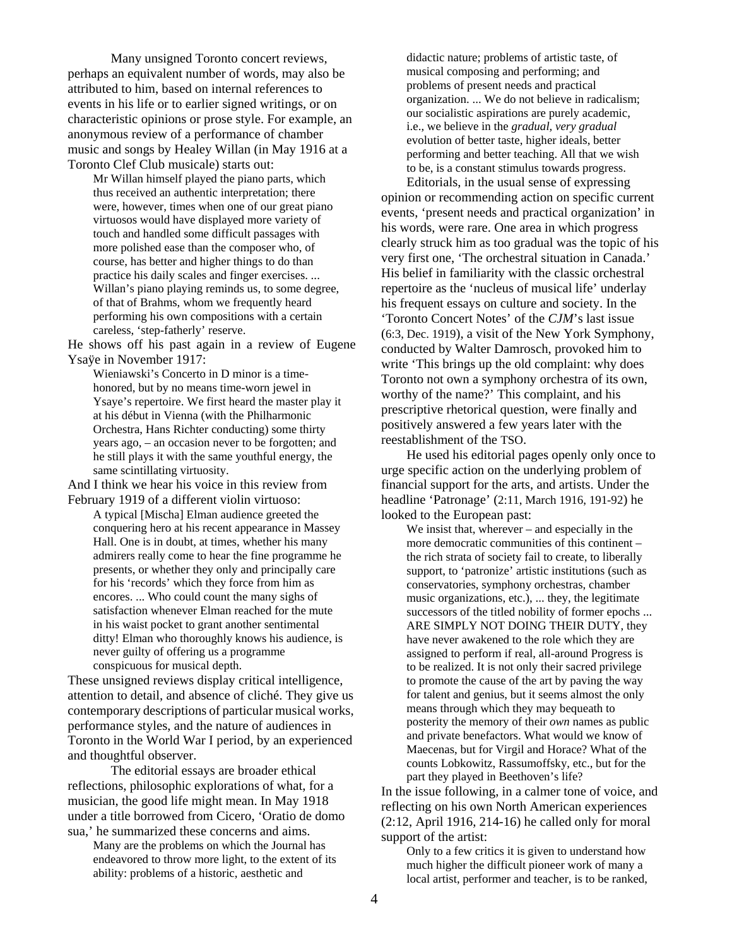Many unsigned Toronto concert reviews, perhaps an equivalent number of words, may also be attributed to him, based on internal references to events in his life or to earlier signed writings, or on characteristic opinions or prose style. For example, an anonymous review of a performance of chamber music and songs by Healey Willan (in May 1916 at a Toronto Clef Club musicale) starts out:

Mr Willan himself played the piano parts, which thus received an authentic interpretation; there were, however, times when one of our great piano virtuosos would have displayed more variety of touch and handled some difficult passages with more polished ease than the composer who, of course, has better and higher things to do than practice his daily scales and finger exercises. ... Willan's piano playing reminds us, to some degree, of that of Brahms, whom we frequently heard performing his own compositions with a certain careless, 'step-fatherly' reserve.

He shows off his past again in a review of Eugene Ysaÿe in November 1917:

Wieniawski's Concerto in D minor is a timehonored, but by no means time-worn jewel in Ysaye's repertoire. We first heard the master play it at his début in Vienna (with the Philharmonic Orchestra, Hans Richter conducting) some thirty years ago, – an occasion never to be forgotten; and he still plays it with the same youthful energy, the same scintillating virtuosity.

And I think we hear his voice in this review from February 1919 of a different violin virtuoso:

A typical [Mischa] Elman audience greeted the conquering hero at his recent appearance in Massey Hall. One is in doubt, at times, whether his many admirers really come to hear the fine programme he presents, or whether they only and principally care for his 'records' which they force from him as encores. ... Who could count the many sighs of satisfaction whenever Elman reached for the mute in his waist pocket to grant another sentimental ditty! Elman who thoroughly knows his audience, is never guilty of offering us a programme conspicuous for musical depth.

These unsigned reviews display critical intelligence, attention to detail, and absence of cliché. They give us contemporary descriptions of particular musical works, performance styles, and the nature of audiences in Toronto in the World War I period, by an experienced and thoughtful observer.

The editorial essays are broader ethical reflections, philosophic explorations of what, for a musician, the good life might mean. In May 1918 under a title borrowed from Cicero, 'Oratio de domo sua,' he summarized these concerns and aims.

Many are the problems on which the Journal has endeavored to throw more light, to the extent of its ability: problems of a historic, aesthetic and

didactic nature; problems of artistic taste, of musical composing and performing; and problems of present needs and practical organization. ... We do not believe in radicalism; our socialistic aspirations are purely academic, i.e., we believe in the *gradual, very gradual* evolution of better taste, higher ideals, better performing and better teaching. All that we wish to be, is a constant stimulus towards progress.

Editorials, in the usual sense of expressing opinion or recommending action on specific current events, 'present needs and practical organization' in his words, were rare. One area in which progress clearly struck him as too gradual was the topic of his very first one, 'The orchestral situation in Canada.' His belief in familiarity with the classic orchestral repertoire as the 'nucleus of musical life' underlay his frequent essays on culture and society. In the 'Toronto Concert Notes' of the *CJM*'s last issue (6:3, Dec. 1919), a visit of the New York Symphony, conducted by Walter Damrosch, provoked him to write 'This brings up the old complaint: why does Toronto not own a symphony orchestra of its own, worthy of the name?' This complaint, and his prescriptive rhetorical question, were finally and positively answered a few years later with the reestablishment of the TSO.

He used his editorial pages openly only once to urge specific action on the underlying problem of financial support for the arts, and artists. Under the headline 'Patronage' (2:11, March 1916, 191-92) he looked to the European past:

We insist that, wherever – and especially in the more democratic communities of this continent – the rich strata of society fail to create, to liberally support, to 'patronize' artistic institutions (such as conservatories, symphony orchestras, chamber music organizations, etc.), ... they, the legitimate successors of the titled nobility of former epochs ... ARE SIMPLY NOT DOING THEIR DUTY, they have never awakened to the role which they are assigned to perform if real, all-around Progress is to be realized. It is not only their sacred privilege to promote the cause of the art by paving the way for talent and genius, but it seems almost the only means through which they may bequeath to posterity the memory of their *own* names as public and private benefactors. What would we know of Maecenas, but for Virgil and Horace? What of the counts Lobkowitz, Rassumoffsky, etc., but for the part they played in Beethoven's life?

In the issue following, in a calmer tone of voice, and reflecting on his own North American experiences (2:12, April 1916, 214-16) he called only for moral support of the artist:

Only to a few critics it is given to understand how much higher the difficult pioneer work of many a local artist, performer and teacher, is to be ranked,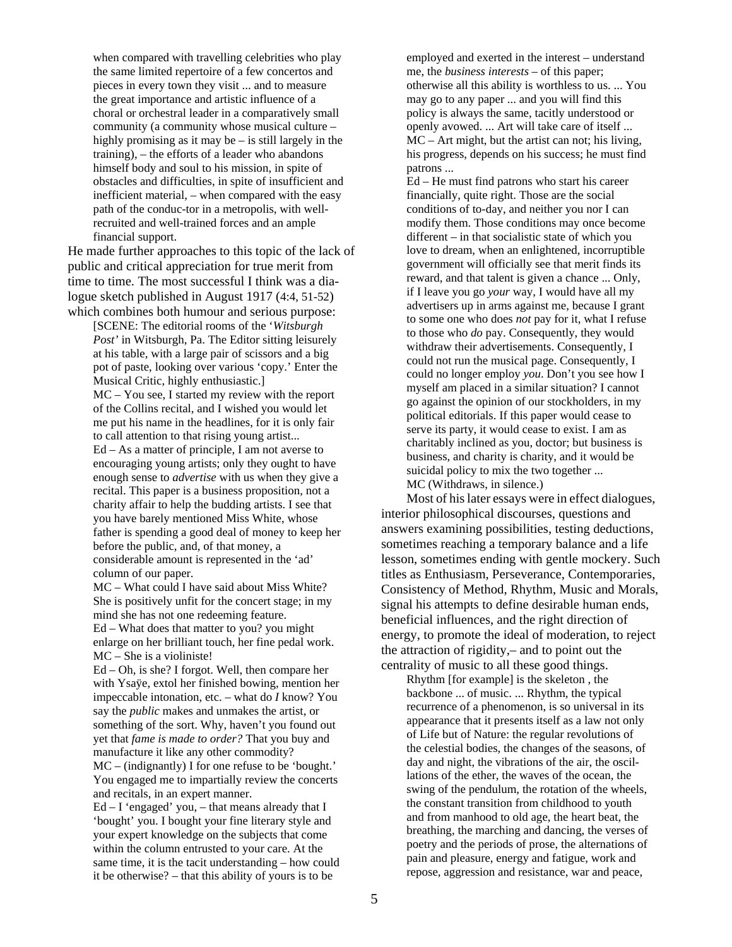when compared with travelling celebrities who play the same limited repertoire of a few concertos and pieces in every town they visit ... and to measure the great importance and artistic influence of a choral or orchestral leader in a comparatively small community (a community whose musical culture – highly promising as it may be – is still largely in the training), – the efforts of a leader who abandons himself body and soul to his mission, in spite of obstacles and difficulties, in spite of insufficient and inefficient material, – when compared with the easy path of the conduc-tor in a metropolis, with wellrecruited and well-trained forces and an ample financial support.

He made further approaches to this topic of the lack of public and critical appreciation for true merit from time to time. The most successful I think was a dialogue sketch published in August 1917 (4:4, 51-52) which combines both humour and serious purpose:

[SCENE: The editorial rooms of the '*Witsburgh Post'* in Witsburgh, Pa. The Editor sitting leisurely at his table, with a large pair of scissors and a big pot of paste, looking over various 'copy.' Enter the Musical Critic, highly enthusiastic.]

MC – You see, I started my review with the report of the Collins recital, and I wished you would let me put his name in the headlines, for it is only fair to call attention to that rising young artist... Ed – As a matter of principle, I am not averse to encouraging young artists; only they ought to have enough sense to *advertise* with us when they give a recital. This paper is a business proposition, not a charity affair to help the budding artists. I see that you have barely mentioned Miss White, whose father is spending a good deal of money to keep her before the public, and, of that money, a considerable amount is represented in the 'ad'

column of our paper. MC – What could I have said about Miss White? She is positively unfit for the concert stage; in my mind she has not one redeeming feature.

Ed – What does that matter to you? you might enlarge on her brilliant touch, her fine pedal work. MC – She is a violiniste!

Ed – Oh, is she? I forgot. Well, then compare her with Ysaÿe, extol her finished bowing, mention her impeccable intonation, etc. – what do *I* know? You say the *public* makes and unmakes the artist, or something of the sort. Why, haven't you found out yet that *fame is made to order?* That you buy and manufacture it like any other commodity?

MC – (indignantly) I for one refuse to be 'bought.' You engaged me to impartially review the concerts and recitals, in an expert manner.

 $Ed - I$  'engaged' you, – that means already that I 'bought' you. I bought your fine literary style and your expert knowledge on the subjects that come within the column entrusted to your care. At the same time, it is the tacit understanding – how could it be otherwise? – that this ability of yours is to be

employed and exerted in the interest – understand me, the *business interests* – of this paper; otherwise all this ability is worthless to us. ... You may go to any paper ... and you will find this policy is always the same, tacitly understood or openly avowed. ... Art will take care of itself ... MC – Art might, but the artist can not; his living, his progress, depends on his success; he must find patrons ...

Ed – He must find patrons who start his career financially, quite right. Those are the social conditions of to-day, and neither you nor I can modify them. Those conditions may once become different – in that socialistic state of which you love to dream, when an enlightened, incorruptible government will officially see that merit finds its reward, and that talent is given a chance ... Only, if I leave you go *your* way, I would have all my advertisers up in arms against me, because I grant to some one who does *not* pay for it, what I refuse to those who *do* pay. Consequently, they would withdraw their advertisements. Consequently, I could not run the musical page. Consequently, I could no longer employ *you*. Don't you see how I myself am placed in a similar situation? I cannot go against the opinion of our stockholders, in my political editorials. If this paper would cease to serve its party, it would cease to exist. I am as charitably inclined as you, doctor; but business is business, and charity is charity, and it would be suicidal policy to mix the two together ... MC (Withdraws, in silence.)

Most of hislater essays were in effect dialogues, interior philosophical discourses, questions and answers examining possibilities, testing deductions, sometimes reaching a temporary balance and a life lesson, sometimes ending with gentle mockery. Such titles as Enthusiasm, Perseverance, Contemporaries, Consistency of Method, Rhythm, Music and Morals, signal his attempts to define desirable human ends, beneficial influences, and the right direction of energy, to promote the ideal of moderation, to reject the attraction of rigidity,– and to point out the centrality of music to all these good things.

Rhythm [for example] is the skeleton , the backbone ... of music. ... Rhythm, the typical recurrence of a phenomenon, is so universal in its appearance that it presents itself as a law not only of Life but of Nature: the regular revolutions of the celestial bodies, the changes of the seasons, of day and night, the vibrations of the air, the oscillations of the ether, the waves of the ocean, the swing of the pendulum, the rotation of the wheels, the constant transition from childhood to youth and from manhood to old age, the heart beat, the breathing, the marching and dancing, the verses of poetry and the periods of prose, the alternations of pain and pleasure, energy and fatigue, work and repose, aggression and resistance, war and peace,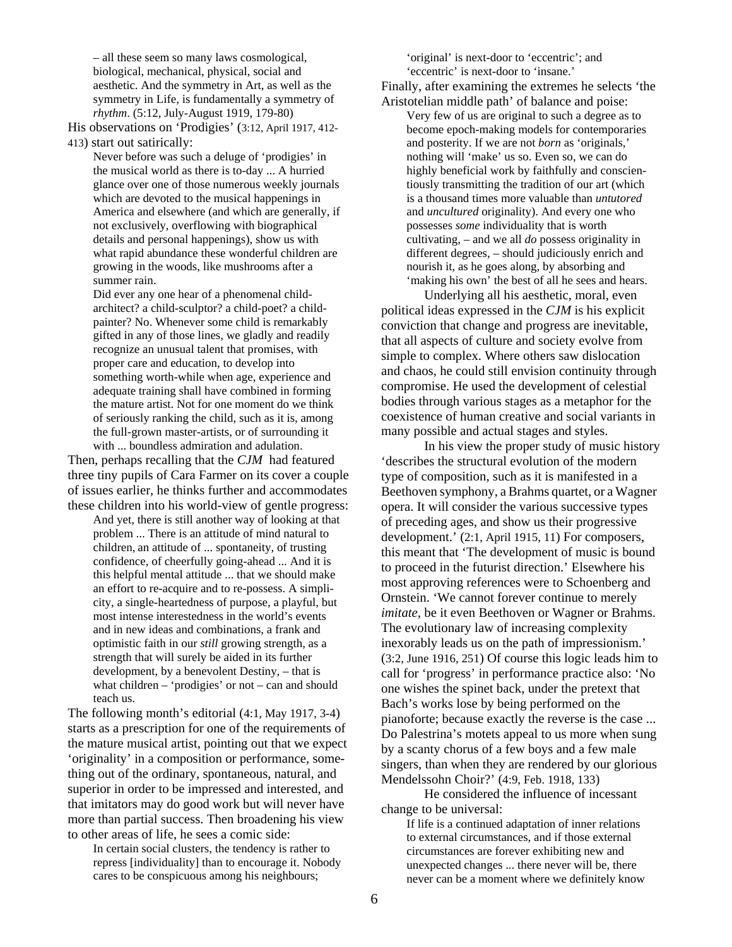– all these seem so many laws cosmological, biological, mechanical, physical, social and aesthetic. And the symmetry in Art, as well as the symmetry in Life, is fundamentally a symmetry of *rhythm*. (5:12, July-August 1919, 179-80)

His observations on 'Prodigies' (3:12, April 1917, 412- 413) start out satirically:

Never before was such a deluge of 'prodigies' in the musical world as there is to-day ... A hurried glance over one of those numerous weekly journals which are devoted to the musical happenings in America and elsewhere (and which are generally, if not exclusively, overflowing with biographical details and personal happenings), show us with what rapid abundance these wonderful children are growing in the woods, like mushrooms after a summer rain.

Did ever any one hear of a phenomenal childarchitect? a child-sculptor? a child-poet? a childpainter? No. Whenever some child is remarkably gifted in any of those lines, we gladly and readily recognize an unusual talent that promises, with proper care and education, to develop into something worth-while when age, experience and adequate training shall have combined in forming the mature artist. Not for one moment do we think of seriously ranking the child, such as it is, among the full-grown master-artists, or of surrounding it with ... boundless admiration and adulation.

Then, perhaps recalling that the *CJM* had featured three tiny pupils of Cara Farmer on its cover a couple of issues earlier, he thinks further and accommodates these children into his world-view of gentle progress:

And yet, there is still another way of looking at that problem ... There is an attitude of mind natural to children, an attitude of ... spontaneity, of trusting confidence, of cheerfully going-ahead ... And it is this helpful mental attitude ... that we should make an effort to re-acquire and to re-possess. A simplicity, a single-heartedness of purpose, a playful, but most intense interestedness in the world's events and in new ideas and combinations, a frank and optimistic faith in our *still* growing strength, as a strength that will surely be aided in its further development, by a benevolent Destiny, – that is what children – 'prodigies' or not – can and should teach us.

The following month's editorial (4:1, May 1917, 3-4) starts as a prescription for one of the requirements of the mature musical artist, pointing out that we expect 'originality' in a composition or performance, something out of the ordinary, spontaneous, natural, and superior in order to be impressed and interested, and that imitators may do good work but will never have more than partial success. Then broadening his view to other areas of life, he sees a comic side:

In certain social clusters, the tendency is rather to repress [individuality] than to encourage it. Nobody cares to be conspicuous among his neighbours;

'original' is next-door to 'eccentric'; and 'eccentric' is next-door to 'insane.'

Finally, after examining the extremes he selects 'the Aristotelian middle path' of balance and poise:

Very few of us are original to such a degree as to become epoch-making models for contemporaries and posterity. If we are not *born* as 'originals,' nothing will 'make' us so. Even so, we can do highly beneficial work by faithfully and conscientiously transmitting the tradition of our art (which is a thousand times more valuable than *untutored* and *uncultured* originality). And every one who possesses *some* individuality that is worth cultivating, – and we all *do* possess originality in different degrees, – should judiciously enrich and nourish it, as he goes along, by absorbing and 'making his own' the best of all he sees and hears.

Underlying all his aesthetic, moral, even political ideas expressed in the *CJM* is his explicit conviction that change and progress are inevitable, that all aspects of culture and society evolve from simple to complex. Where others saw dislocation and chaos, he could still envision continuity through compromise. He used the development of celestial bodies through various stages as a metaphor for the coexistence of human creative and social variants in many possible and actual stages and styles.

In his view the proper study of music history 'describes the structural evolution of the modern type of composition, such as it is manifested in a Beethoven symphony, a Brahms quartet, or a Wagner opera. It will consider the various successive types of preceding ages, and show us their progressive development.' (2:1, April 1915, 11) For composers, this meant that 'The development of music is bound to proceed in the futurist direction.' Elsewhere his most approving references were to Schoenberg and Ornstein. 'We cannot forever continue to merely *imitate,* be it even Beethoven or Wagner or Brahms. The evolutionary law of increasing complexity inexorably leads us on the path of impressionism.' (3:2, June 1916, 251) Of course this logic leads him to call for 'progress' in performance practice also: 'No one wishes the spinet back, under the pretext that Bach's works lose by being performed on the pianoforte; because exactly the reverse is the case ... Do Palestrina's motets appeal to us more when sung by a scanty chorus of a few boys and a few male singers, than when they are rendered by our glorious Mendelssohn Choir?' (4:9, Feb. 1918, 133)

He considered the influence of incessant change to be universal:

If life is a continued adaptation of inner relations to external circumstances, and if those external circumstances are forever exhibiting new and unexpected changes ... there never will be, there never can be a moment where we definitely know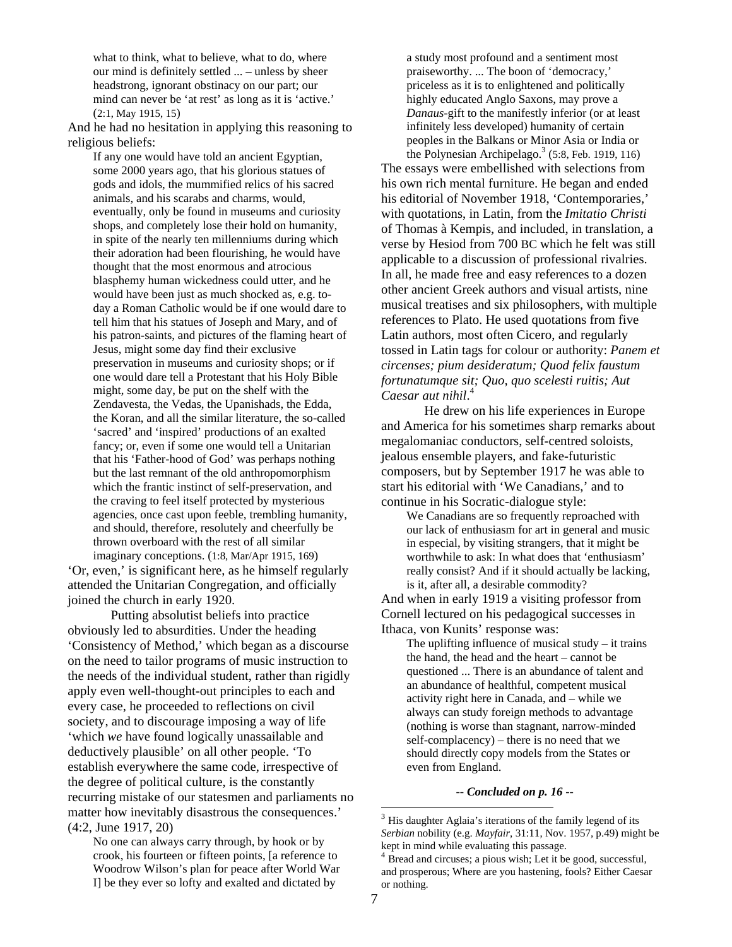what to think, what to believe, what to do, where our mind is definitely settled ... – unless by sheer headstrong, ignorant obstinacy on our part; our mind can never be 'at rest' as long as it is 'active.' (2:1, May 1915, 15)

And he had no hesitation in applying this reasoning to religious beliefs:

If any one would have told an ancient Egyptian, some 2000 years ago, that his glorious statues of gods and idols, the mummified relics of his sacred animals, and his scarabs and charms, would, eventually, only be found in museums and curiosity shops, and completely lose their hold on humanity, in spite of the nearly ten millenniums during which their adoration had been flourishing, he would have thought that the most enormous and atrocious blasphemy human wickedness could utter, and he would have been just as much shocked as, e.g. today a Roman Catholic would be if one would dare to tell him that his statues of Joseph and Mary, and of his patron-saints, and pictures of the flaming heart of Jesus, might some day find their exclusive preservation in museums and curiosity shops; or if one would dare tell a Protestant that his Holy Bible might, some day, be put on the shelf with the Zendavesta, the Vedas, the Upanishads, the Edda, the Koran, and all the similar literature, the so-called 'sacred' and 'inspired' productions of an exalted fancy; or, even if some one would tell a Unitarian that his 'Father-hood of God' was perhaps nothing but the last remnant of the old anthropomorphism which the frantic instinct of self-preservation, and the craving to feel itself protected by mysterious agencies, once cast upon feeble, trembling humanity, and should, therefore, resolutely and cheerfully be thrown overboard with the rest of all similar imaginary conceptions. (1:8, Mar/Apr 1915, 169)

'Or, even,' is significant here, as he himself regularly attended the Unitarian Congregation, and officially joined the church in early 1920.

Putting absolutist beliefs into practice obviously led to absurdities. Under the heading 'Consistency of Method,' which began as a discourse on the need to tailor programs of music instruction to the needs of the individual student, rather than rigidly apply even well-thought-out principles to each and every case, he proceeded to reflections on civil society, and to discourage imposing a way of life 'which *we* have found logically unassailable and deductively plausible' on all other people. 'To establish everywhere the same code, irrespective of the degree of political culture, is the constantly recurring mistake of our statesmen and parliaments no matter how inevitably disastrous the consequences.' (4:2, June 1917, 20)

No one can always carry through, by hook or by crook, his fourteen or fifteen points, [a reference to Woodrow Wilson's plan for peace after World War I] be they ever so lofty and exalted and dictated by

a study most profound and a sentiment most praiseworthy. ... The boon of 'democracy,' priceless as it is to enlightened and politically highly educated Anglo Saxons, may prove a *Danaus*-gift to the manifestly inferior (or at least infinitely less developed) humanity of certain peoples in the Balkans or Minor Asia or India or

the Polynesian Archipelago.<sup>3</sup> (5:8, Feb. 1919, 116) The essays were embellished with selections from his own rich mental furniture. He began and ended his editorial of November 1918, 'Contemporaries,' with quotations, in Latin, from the *Imitatio Christi* of Thomas à Kempis, and included, in translation, a verse by Hesiod from 700 BC which he felt was still applicable to a discussion of professional rivalries. In all, he made free and easy references to a dozen other ancient Greek authors and visual artists, nine musical treatises and six philosophers, with multiple references to Plato. He used quotations from five Latin authors, most often Cicero, and regularly tossed in Latin tags for colour or authority: *Panem et circenses; pium desideratum; Quod felix faustum fortunatumque sit; Quo, quo scelesti ruitis; Aut Caesar aut nihil*. 4

He drew on his life experiences in Europe and America for his sometimes sharp remarks about megalomaniac conductors, self-centred soloists, jealous ensemble players, and fake-futuristic composers, but by September 1917 he was able to start his editorial with 'We Canadians,' and to continue in his Socratic-dialogue style:

We Canadians are so frequently reproached with our lack of enthusiasm for art in general and music in especial, by visiting strangers, that it might be worthwhile to ask: In what does that 'enthusiasm' really consist? And if it should actually be lacking, is it, after all, a desirable commodity?

And when in early 1919 a visiting professor from Cornell lectured on his pedagogical successes in Ithaca, von Kunits' response was:

The uplifting influence of musical study  $-$  it trains the hand, the head and the heart – cannot be questioned ... There is an abundance of talent and an abundance of healthful, competent musical activity right here in Canada, and – while we always can study foreign methods to advantage (nothing is worse than stagnant, narrow-minded self-complacency) – there is no need that we should directly copy models from the States or even from England.

-- *Concluded on p. 16* --

1

 $3$  His daughter Aglaia's iterations of the family legend of its *Serbian* nobility (e.g. *Mayfair*, 31:11, Nov. 1957, p.49) might be kept in mind while evaluating this passage.<br><sup>4</sup> Bread and circuses; a pious wish; Let it be good, successful,

and prosperous; Where are you hastening, fools? Either Caesar or nothing.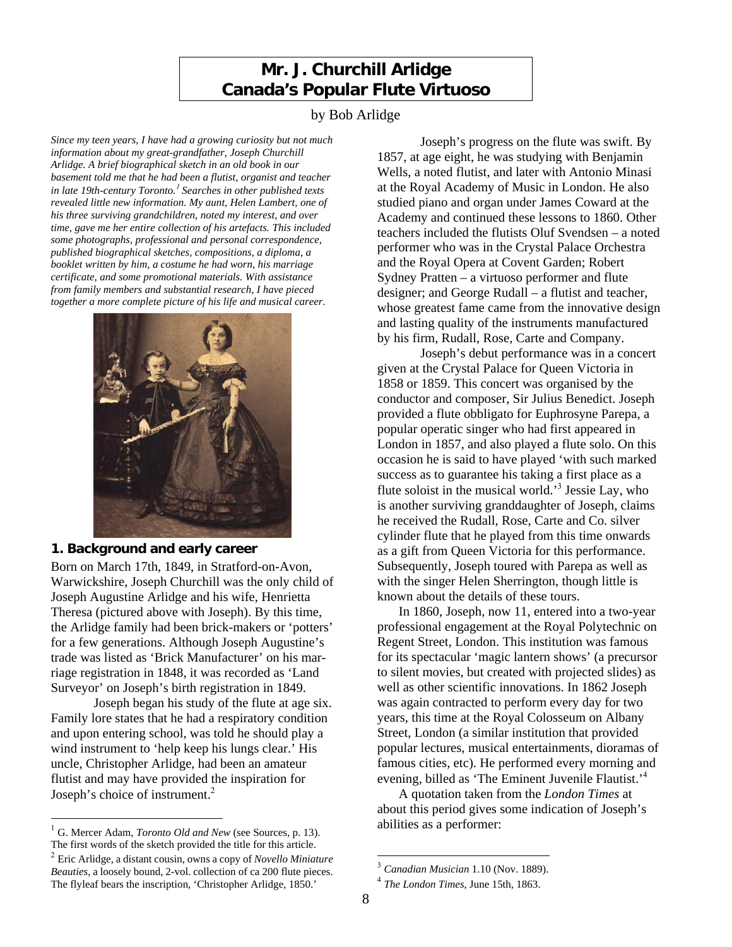# **Mr. J. Churchill Arlidge Canada's Popular Flute Virtuoso**

## by Bob Arlidge

*Since my teen years, I have had a growing curiosity but not much information about my great-grandfather, Joseph Churchill Arlidge. A brief biographical sketch in an old book in our basement told me that he had been a flutist, organist and teacher in late 19th-century Toronto.*<sup>1</sup> *Searches in other published texts revealed little new information. My aunt, Helen Lambert, one of his three surviving grandchildren, noted my interest, and over time, gave me her entire collection of his artefacts. This included some photographs, professional and personal correspondence, published biographical sketches, compositions, a diploma, a booklet written by him, a costume he had worn, his marriage certificate, and some promotional materials. With assistance from family members and substantial research, I have pieced together a more complete picture of his life and musical career.*



# **1. Background and early career**

Born on March 17th, 1849, in Stratford-on-Avon, Warwickshire, Joseph Churchill was the only child of Joseph Augustine Arlidge and his wife, Henrietta Theresa (pictured above with Joseph). By this time, the Arlidge family had been brick-makers or 'potters' for a few generations. Although Joseph Augustine's trade was listed as 'Brick Manufacturer' on his marriage registration in 1848, it was recorded as 'Land Surveyor' on Joseph's birth registration in 1849.

Joseph began his study of the flute at age six. Family lore states that he had a respiratory condition and upon entering school, was told he should play a wind instrument to 'help keep his lungs clear.' His uncle, Christopher Arlidge, had been an amateur flutist and may have provided the inspiration for Joseph's choice of instrument.<sup>2</sup>

l

Joseph's progress on the flute was swift. By 1857, at age eight, he was studying with Benjamin Wells, a noted flutist, and later with Antonio Minasi at the Royal Academy of Music in London. He also studied piano and organ under James Coward at the Academy and continued these lessons to 1860. Other teachers included the flutists Oluf Svendsen – a noted performer who was in the Crystal Palace Orchestra and the Royal Opera at Covent Garden; Robert Sydney Pratten – a virtuoso performer and flute designer; and George Rudall – a flutist and teacher, whose greatest fame came from the innovative design and lasting quality of the instruments manufactured by his firm, Rudall, Rose, Carte and Company.

Joseph's debut performance was in a concert given at the Crystal Palace for Queen Victoria in 1858 or 1859. This concert was organised by the conductor and composer, Sir Julius Benedict. Joseph provided a flute obbligato for Euphrosyne Parepa, a popular operatic singer who had first appeared in London in 1857, and also played a flute solo. On this occasion he is said to have played 'with such marked success as to guarantee his taking a first place as a flute soloist in the musical world.<sup>3</sup> Jessie Lay, who is another surviving granddaughter of Joseph, claims he received the Rudall, Rose, Carte and Co. silver cylinder flute that he played from this time onwards as a gift from Queen Victoria for this performance. Subsequently, Joseph toured with Parepa as well as with the singer Helen Sherrington, though little is known about the details of these tours.

In 1860, Joseph, now 11, entered into a two-year professional engagement at the Royal Polytechnic on Regent Street, London. This institution was famous for its spectacular 'magic lantern shows' (a precursor to silent movies, but created with projected slides) as well as other scientific innovations. In 1862 Joseph was again contracted to perform every day for two years, this time at the Royal Colosseum on Albany Street, London (a similar institution that provided popular lectures, musical entertainments, dioramas of famous cities, etc). He performed every morning and evening, billed as 'The Eminent Juvenile Flautist.'<sup>4</sup>

A quotation taken from the *London Times* at about this period gives some indication of Joseph's abilities as a performer:

-

<sup>1</sup> G. Mercer Adam, *Toronto Old and New* (see Sources, p. 13).

The first words of the sketch provided the title for this article. <sup>2</sup> Eric Arlidge, a distant cousin, owns a copy of *Novello Miniature Beauties*, a loosely bound, 2-vol. collection of ca 200 flute pieces. The flyleaf bears the inscription, 'Christopher Arlidge, 1850.'

<sup>3</sup> *Canadian Musician* 1.10 (Nov. 1889).

<sup>4</sup> *The London Times*, June 15th, 1863.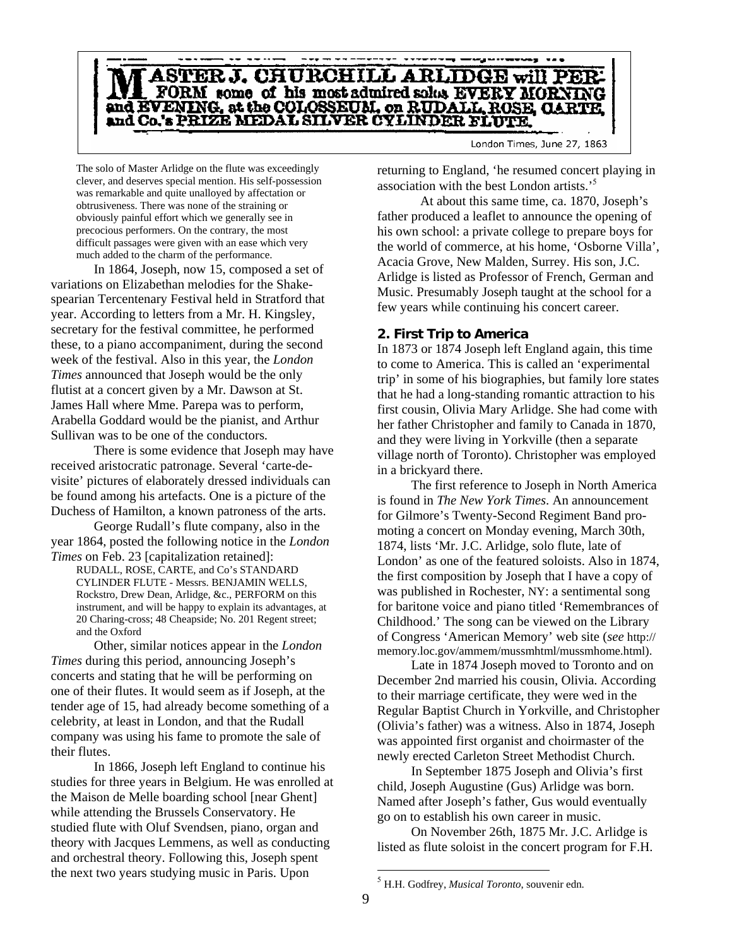

The solo of Master Arlidge on the flute was exceedingly clever, and deserves special mention. His self-possession was remarkable and quite unalloyed by affectation or obtrusiveness. There was none of the straining or obviously painful effort which we generally see in precocious performers. On the contrary, the most difficult passages were given with an ease which very much added to the charm of the performance.

In 1864, Joseph, now 15, composed a set of variations on Elizabethan melodies for the Shakespearian Tercentenary Festival held in Stratford that year. According to letters from a Mr. H. Kingsley, secretary for the festival committee, he performed these, to a piano accompaniment, during the second week of the festival. Also in this year, the *London Times* announced that Joseph would be the only flutist at a concert given by a Mr. Dawson at St. James Hall where Mme. Parepa was to perform, Arabella Goddard would be the pianist, and Arthur Sullivan was to be one of the conductors.

There is some evidence that Joseph may have received aristocratic patronage. Several 'carte-devisite' pictures of elaborately dressed individuals can be found among his artefacts. One is a picture of the Duchess of Hamilton, a known patroness of the arts.

George Rudall's flute company, also in the year 1864, posted the following notice in the *London Times* on Feb. 23 [capitalization retained]:

RUDALL, ROSE, CARTE, and Co's STANDARD CYLINDER FLUTE - Messrs. BENJAMIN WELLS, Rockstro, Drew Dean, Arlidge, &c., PERFORM on this instrument, and will be happy to explain its advantages, at 20 Charing-cross; 48 Cheapside; No. 201 Regent street; and the Oxford

Other, similar notices appear in the *London Times* during this period, announcing Joseph's concerts and stating that he will be performing on one of their flutes. It would seem as if Joseph, at the tender age of 15, had already become something of a celebrity, at least in London, and that the Rudall company was using his fame to promote the sale of their flutes.

In 1866, Joseph left England to continue his studies for three years in Belgium. He was enrolled at the Maison de Melle boarding school [near Ghent] while attending the Brussels Conservatory. He studied flute with Oluf Svendsen, piano, organ and theory with Jacques Lemmens, as well as conducting and orchestral theory. Following this, Joseph spent the next two years studying music in Paris. Upon

returning to England, 'he resumed concert playing in association with the best London artists.'<sup>5</sup>

At about this same time, ca. 1870, Joseph's father produced a leaflet to announce the opening of his own school: a private college to prepare boys for the world of commerce, at his home, 'Osborne Villa', Acacia Grove, New Malden, Surrey. His son, J.C. Arlidge is listed as Professor of French, German and Music. Presumably Joseph taught at the school for a few years while continuing his concert career.

### **2. First Trip to America**

In 1873 or 1874 Joseph left England again, this time to come to America. This is called an 'experimental trip' in some of his biographies, but family lore states that he had a long-standing romantic attraction to his first cousin, Olivia Mary Arlidge. She had come with her father Christopher and family to Canada in 1870, and they were living in Yorkville (then a separate village north of Toronto). Christopher was employed in a brickyard there.

The first reference to Joseph in North America is found in *The New York Times*. An announcement for Gilmore's Twenty-Second Regiment Band promoting a concert on Monday evening, March 30th, 1874, lists 'Mr. J.C. Arlidge, solo flute, late of London' as one of the featured soloists. Also in 1874, the first composition by Joseph that I have a copy of was published in Rochester, NY: a sentimental song for baritone voice and piano titled 'Remembrances of Childhood.' The song can be viewed on the Library of Congress 'American Memory' web site (*see* http:// memory.loc.gov/ammem/mussmhtml/mussmhome.html).

Late in 1874 Joseph moved to Toronto and on December 2nd married his cousin, Olivia. According to their marriage certificate, they were wed in the Regular Baptist Church in Yorkville, and Christopher (Olivia's father) was a witness. Also in 1874, Joseph was appointed first organist and choirmaster of the newly erected Carleton Street Methodist Church.

In September 1875 Joseph and Olivia's first child, Joseph Augustine (Gus) Arlidge was born. Named after Joseph's father, Gus would eventually go on to establish his own career in music.

On November 26th, 1875 Mr. J.C. Arlidge is listed as flute soloist in the concert program for F.H.

1

<sup>5</sup> H.H. Godfrey, *Musical Toronto*, souvenir edn.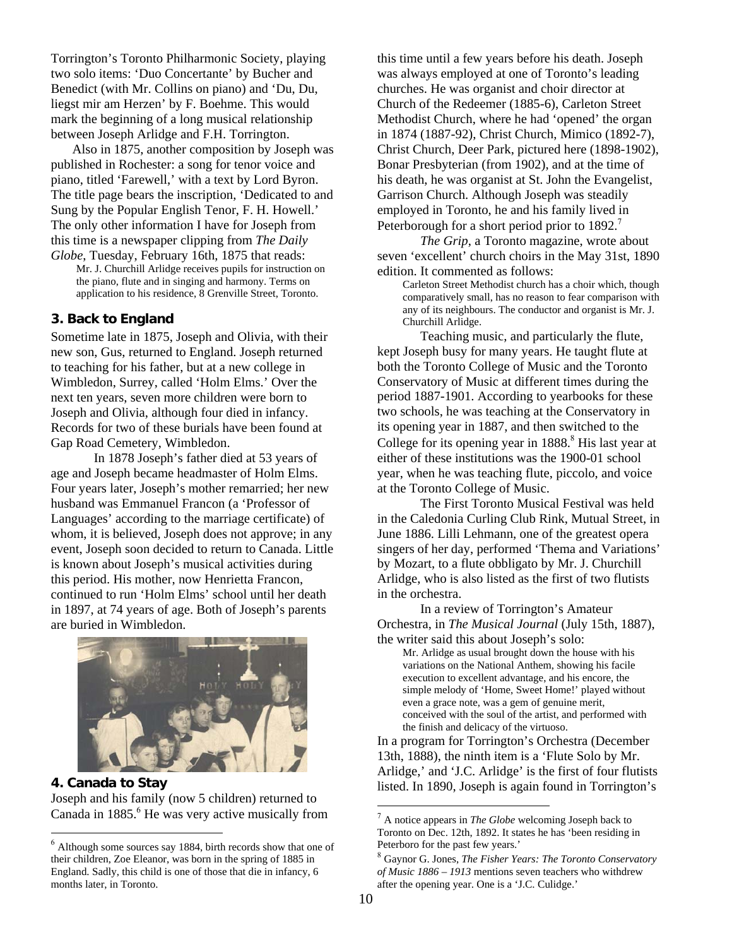Torrington's Toronto Philharmonic Society, playing two solo items: 'Duo Concertante' by Bucher and Benedict (with Mr. Collins on piano) and 'Du, Du, liegst mir am Herzen' by F. Boehme. This would mark the beginning of a long musical relationship between Joseph Arlidge and F.H. Torrington.

Also in 1875, another composition by Joseph was published in Rochester: a song for tenor voice and piano, titled 'Farewell,' with a text by Lord Byron. The title page bears the inscription, 'Dedicated to and Sung by the Popular English Tenor, F. H. Howell.' The only other information I have for Joseph from this time is a newspaper clipping from *The Daily Globe*, Tuesday, February 16th, 1875 that reads:

Mr. J. Churchill Arlidge receives pupils for instruction on the piano, flute and in singing and harmony. Terms on application to his residence, 8 Grenville Street, Toronto.

## **3. Back to England**

Sometime late in 1875, Joseph and Olivia, with their new son, Gus, returned to England. Joseph returned to teaching for his father, but at a new college in Wimbledon, Surrey, called 'Holm Elms.' Over the next ten years, seven more children were born to Joseph and Olivia, although four died in infancy. Records for two of these burials have been found at Gap Road Cemetery, Wimbledon.

In 1878 Joseph's father died at 53 years of age and Joseph became headmaster of Holm Elms. Four years later, Joseph's mother remarried; her new husband was Emmanuel Francon (a 'Professor of Languages' according to the marriage certificate) of whom, it is believed, Joseph does not approve; in any event, Joseph soon decided to return to Canada. Little is known about Joseph's musical activities during this period. His mother, now Henrietta Francon, continued to run 'Holm Elms' school until her death in 1897, at 74 years of age. Both of Joseph's parents are buried in Wimbledon.



**4. Canada to Stay**  Joseph and his family (now 5 children) returned to Canada in 1885.<sup>6</sup> He was very active musically from

l

this time until a few years before his death. Joseph was always employed at one of Toronto's leading churches. He was organist and choir director at Church of the Redeemer (1885-6), Carleton Street Methodist Church, where he had 'opened' the organ in 1874 (1887-92), Christ Church, Mimico (1892-7), Christ Church, Deer Park, pictured here (1898-1902), Bonar Presbyterian (from 1902), and at the time of his death, he was organist at St. John the Evangelist, Garrison Church. Although Joseph was steadily employed in Toronto, he and his family lived in Peterborough for a short period prior to 1892.<sup>7</sup>

*The Grip*, a Toronto magazine, wrote about seven 'excellent' church choirs in the May 31st, 1890 edition. It commented as follows:

Carleton Street Methodist church has a choir which, though comparatively small, has no reason to fear comparison with any of its neighbours. The conductor and organist is Mr. J. Churchill Arlidge.

Teaching music, and particularly the flute, kept Joseph busy for many years. He taught flute at both the Toronto College of Music and the Toronto Conservatory of Music at different times during the period 1887-1901. According to yearbooks for these two schools, he was teaching at the Conservatory in its opening year in 1887, and then switched to the College for its opening year in 1888.<sup>8</sup> His last year at either of these institutions was the 1900-01 school year, when he was teaching flute, piccolo, and voice at the Toronto College of Music.

The First Toronto Musical Festival was held in the Caledonia Curling Club Rink, Mutual Street, in June 1886. Lilli Lehmann, one of the greatest opera singers of her day, performed 'Thema and Variations' by Mozart, to a flute obbligato by Mr. J. Churchill Arlidge, who is also listed as the first of two flutists in the orchestra.

In a review of Torrington's Amateur Orchestra, in *The Musical Journal* (July 15th, 1887), the writer said this about Joseph's solo:

Mr. Arlidge as usual brought down the house with his variations on the National Anthem, showing his facile execution to excellent advantage, and his encore, the simple melody of 'Home, Sweet Home!' played without even a grace note, was a gem of genuine merit, conceived with the soul of the artist, and performed with the finish and delicacy of the virtuoso.

In a program for Torrington's Orchestra (December 13th, 1888), the ninth item is a 'Flute Solo by Mr. Arlidge,' and 'J.C. Arlidge' is the first of four flutists listed. In 1890, Joseph is again found in Torrington's

1

 $<sup>6</sup>$  Although some sources say 1884, birth records show that one of</sup> their children, Zoe Eleanor, was born in the spring of 1885 in England. Sadly, this child is one of those that die in infancy, 6 months later, in Toronto.

<sup>7</sup> A notice appears in *The Globe* welcoming Joseph back to Toronto on Dec. 12th, 1892. It states he has 'been residing in Peterboro for the past few years.'

<sup>8</sup> Gaynor G. Jones, *The Fisher Years: The Toronto Conservatory of Music 1886 – 1913* mentions seven teachers who withdrew after the opening year. One is a 'J.C. Culidge.'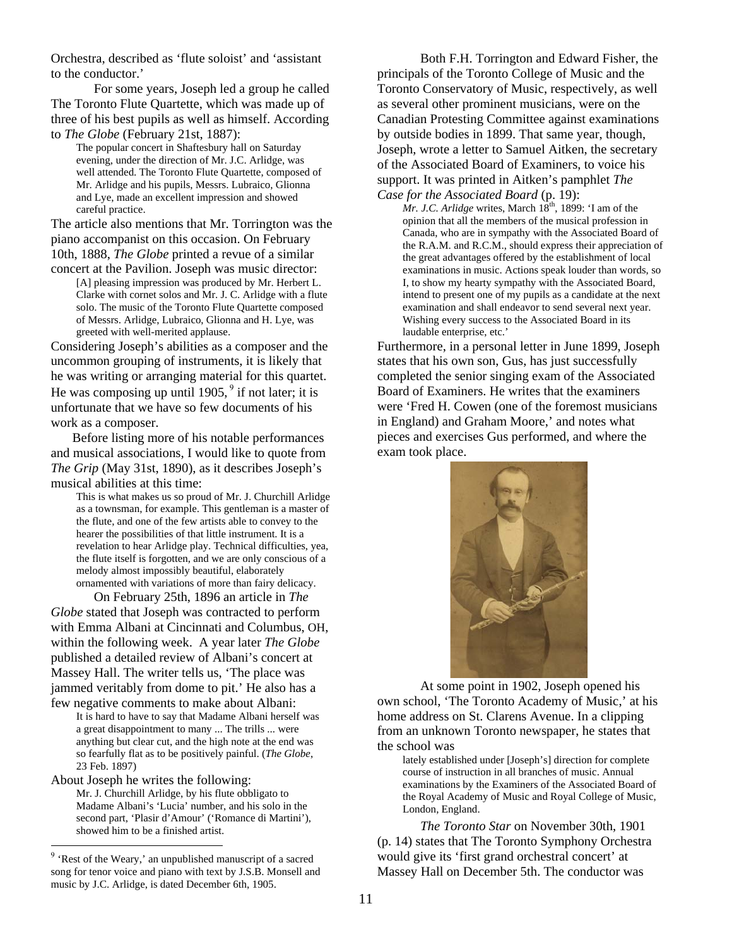Orchestra, described as 'flute soloist' and 'assistant to the conductor.'

For some years, Joseph led a group he called The Toronto Flute Quartette, which was made up of three of his best pupils as well as himself. According to *The Globe* (February 21st, 1887):

The popular concert in Shaftesbury hall on Saturday evening, under the direction of Mr. J.C. Arlidge, was well attended. The Toronto Flute Quartette, composed of Mr. Arlidge and his pupils, Messrs. Lubraico, Glionna and Lye, made an excellent impression and showed careful practice.

The article also mentions that Mr. Torrington was the piano accompanist on this occasion. On February 10th, 1888, *The Globe* printed a revue of a similar

concert at the Pavilion. Joseph was music director: [A] pleasing impression was produced by Mr. Herbert L. Clarke with cornet solos and Mr. J. C. Arlidge with a flute solo. The music of the Toronto Flute Quartette composed of Messrs. Arlidge, Lubraico, Glionna and H. Lye, was greeted with well-merited applause.

Considering Joseph's abilities as a composer and the uncommon grouping of instruments, it is likely that he was writing or arranging material for this quartet. He was composing up until 1905,  $9$  if not later; it is unfortunate that we have so few documents of his work as a composer.

Before listing more of his notable performances and musical associations, I would like to quote from *The Grip* (May 31st, 1890), as it describes Joseph's musical abilities at this time:

This is what makes us so proud of Mr. J. Churchill Arlidge as a townsman, for example. This gentleman is a master of the flute, and one of the few artists able to convey to the hearer the possibilities of that little instrument. It is a revelation to hear Arlidge play. Technical difficulties, yea, the flute itself is forgotten, and we are only conscious of a melody almost impossibly beautiful, elaborately ornamented with variations of more than fairy delicacy.

On February 25th, 1896 an article in *The Globe* stated that Joseph was contracted to perform with Emma Albani at Cincinnati and Columbus, OH, within the following week. A year later *The Globe* published a detailed review of Albani's concert at Massey Hall. The writer tells us, 'The place was jammed veritably from dome to pit.' He also has a few negative comments to make about Albani:

It is hard to have to say that Madame Albani herself was a great disappointment to many ... The trills ... were anything but clear cut, and the high note at the end was so fearfully flat as to be positively painful. (*The Globe*, 23 Feb. 1897)

About Joseph he writes the following:

l

Mr. J. Churchill Arlidge, by his flute obbligato to Madame Albani's 'Lucia' number, and his solo in the second part, 'Plasir d'Amour' ('Romance di Martini'), showed him to be a finished artist.

Both F.H. Torrington and Edward Fisher, the principals of the Toronto College of Music and the Toronto Conservatory of Music, respectively, as well as several other prominent musicians, were on the Canadian Protesting Committee against examinations by outside bodies in 1899. That same year, though, Joseph, wrote a letter to Samuel Aitken, the secretary of the Associated Board of Examiners, to voice his support. It was printed in Aitken's pamphlet *The Case for the Associated Board* (p. 19):

*Mr. J.C. Arlidge* writes, March 18<sup>th</sup>, 1899: 'I am of the opinion that all the members of the musical profession in Canada, who are in sympathy with the Associated Board of the R.A.M. and R.C.M., should express their appreciation of the great advantages offered by the establishment of local examinations in music. Actions speak louder than words, so I, to show my hearty sympathy with the Associated Board, intend to present one of my pupils as a candidate at the next examination and shall endeavor to send several next year. Wishing every success to the Associated Board in its laudable enterprise, etc.'

Furthermore, in a personal letter in June 1899, Joseph states that his own son, Gus, has just successfully completed the senior singing exam of the Associated Board of Examiners. He writes that the examiners were 'Fred H. Cowen (one of the foremost musicians in England) and Graham Moore,' and notes what pieces and exercises Gus performed, and where the exam took place.



At some point in 1902, Joseph opened his own school, 'The Toronto Academy of Music,' at his home address on St. Clarens Avenue. In a clipping from an unknown Toronto newspaper, he states that the school was

lately established under [Joseph's] direction for complete course of instruction in all branches of music. Annual examinations by the Examiners of the Associated Board of the Royal Academy of Music and Royal College of Music, London, England.

*The Toronto Star* on November 30th, 1901 (p. 14) states that The Toronto Symphony Orchestra would give its 'first grand orchestral concert' at Massey Hall on December 5th. The conductor was

<sup>9</sup> 'Rest of the Weary,' an unpublished manuscript of a sacred song for tenor voice and piano with text by J.S.B. Monsell and music by J.C. Arlidge, is dated December 6th, 1905.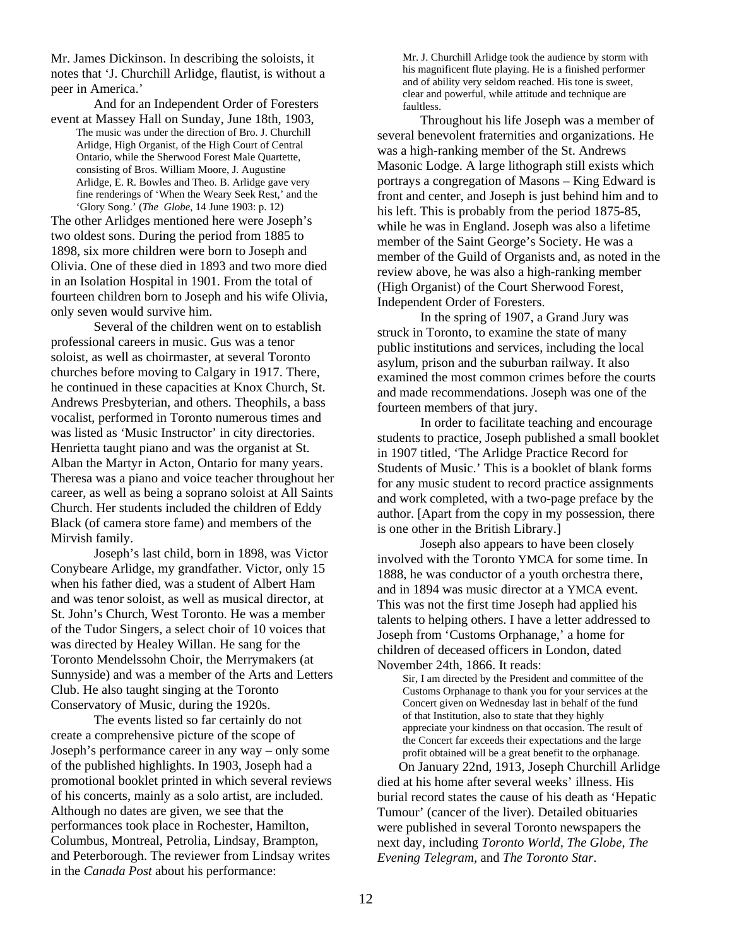Mr. James Dickinson. In describing the soloists, it notes that 'J. Churchill Arlidge, flautist, is without a peer in America.'

And for an Independent Order of Foresters

event at Massey Hall on Sunday, June 18th, 1903, The music was under the direction of Bro. J. Churchill Arlidge, High Organist, of the High Court of Central Ontario, while the Sherwood Forest Male Quartette, consisting of Bros. William Moore, J. Augustine Arlidge, E. R. Bowles and Theo. B. Arlidge gave very fine renderings of 'When the Weary Seek Rest,' and the 'Glory Song.' (*The Globe*, 14 June 1903: p. 12)

The other Arlidges mentioned here were Joseph's two oldest sons. During the period from 1885 to 1898, six more children were born to Joseph and Olivia. One of these died in 1893 and two more died in an Isolation Hospital in 1901. From the total of fourteen children born to Joseph and his wife Olivia, only seven would survive him.

 Several of the children went on to establish professional careers in music. Gus was a tenor soloist, as well as choirmaster, at several Toronto churches before moving to Calgary in 1917. There, he continued in these capacities at Knox Church, St. Andrews Presbyterian, and others. Theophils, a bass vocalist, performed in Toronto numerous times and was listed as 'Music Instructor' in city directories. Henrietta taught piano and was the organist at St. Alban the Martyr in Acton, Ontario for many years. Theresa was a piano and voice teacher throughout her career, as well as being a soprano soloist at All Saints Church. Her students included the children of Eddy Black (of camera store fame) and members of the Mirvish family.

Joseph's last child, born in 1898, was Victor Conybeare Arlidge, my grandfather. Victor, only 15 when his father died, was a student of Albert Ham and was tenor soloist, as well as musical director, at St. John's Church, West Toronto. He was a member of the Tudor Singers, a select choir of 10 voices that was directed by Healey Willan. He sang for the Toronto Mendelssohn Choir, the Merrymakers (at Sunnyside) and was a member of the Arts and Letters Club. He also taught singing at the Toronto Conservatory of Music, during the 1920s.

 The events listed so far certainly do not create a comprehensive picture of the scope of Joseph's performance career in any way – only some of the published highlights. In 1903, Joseph had a promotional booklet printed in which several reviews of his concerts, mainly as a solo artist, are included. Although no dates are given, we see that the performances took place in Rochester, Hamilton, Columbus, Montreal, Petrolia, Lindsay, Brampton, and Peterborough. The reviewer from Lindsay writes in the *Canada Post* about his performance:

Mr. J. Churchill Arlidge took the audience by storm with his magnificent flute playing. He is a finished performer and of ability very seldom reached. His tone is sweet, clear and powerful, while attitude and technique are faultless.

Throughout his life Joseph was a member of several benevolent fraternities and organizations. He was a high-ranking member of the St. Andrews Masonic Lodge. A large lithograph still exists which portrays a congregation of Masons – King Edward is front and center, and Joseph is just behind him and to his left. This is probably from the period 1875-85, while he was in England. Joseph was also a lifetime member of the Saint George's Society. He was a member of the Guild of Organists and, as noted in the review above, he was also a high-ranking member (High Organist) of the Court Sherwood Forest, Independent Order of Foresters.

In the spring of 1907, a Grand Jury was struck in Toronto, to examine the state of many public institutions and services, including the local asylum, prison and the suburban railway. It also examined the most common crimes before the courts and made recommendations. Joseph was one of the fourteen members of that jury.

In order to facilitate teaching and encourage students to practice, Joseph published a small booklet in 1907 titled, 'The Arlidge Practice Record for Students of Music.' This is a booklet of blank forms for any music student to record practice assignments and work completed, with a two-page preface by the author. [Apart from the copy in my possession, there is one other in the British Library.]

Joseph also appears to have been closely involved with the Toronto YMCA for some time. In 1888, he was conductor of a youth orchestra there, and in 1894 was music director at a YMCA event. This was not the first time Joseph had applied his talents to helping others. I have a letter addressed to Joseph from 'Customs Orphanage,' a home for children of deceased officers in London, dated November 24th, 1866. It reads:

Sir, I am directed by the President and committee of the Customs Orphanage to thank you for your services at the Concert given on Wednesday last in behalf of the fund of that Institution, also to state that they highly appreciate your kindness on that occasion. The result of the Concert far exceeds their expectations and the large profit obtained will be a great benefit to the orphanage.

On January 22nd, 1913, Joseph Churchill Arlidge died at his home after several weeks' illness. His burial record states the cause of his death as 'Hepatic Tumour' (cancer of the liver). Detailed obituaries were published in several Toronto newspapers the next day, including *Toronto World*, *The Globe*, *The Evening Telegram,* and *The Toronto Star*.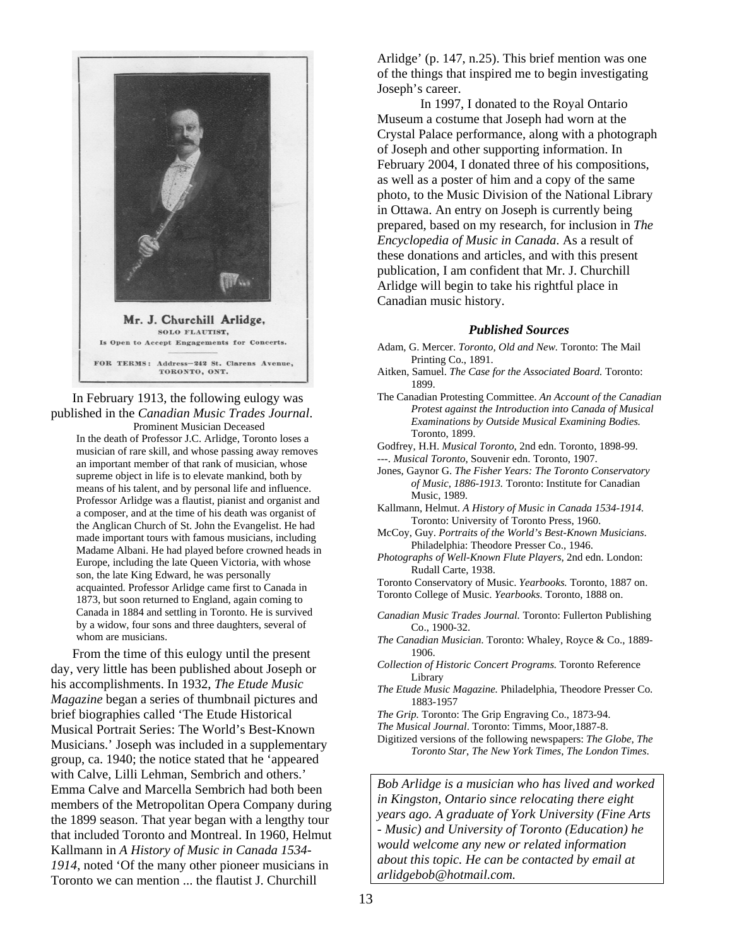

# In February 1913, the following eulogy was published in the *Canadian Music Trades Journal*. Prominent Musician Deceased

In the death of Professor J.C. Arlidge, Toronto loses a musician of rare skill, and whose passing away removes an important member of that rank of musician, whose supreme object in life is to elevate mankind, both by means of his talent, and by personal life and influence. Professor Arlidge was a flautist, pianist and organist and a composer, and at the time of his death was organist of the Anglican Church of St. John the Evangelist. He had made important tours with famous musicians, including Madame Albani. He had played before crowned heads in Europe, including the late Queen Victoria, with whose son, the late King Edward, he was personally acquainted. Professor Arlidge came first to Canada in 1873, but soon returned to England, again coming to Canada in 1884 and settling in Toronto. He is survived by a widow, four sons and three daughters, several of whom are musicians.

From the time of this eulogy until the present day, very little has been published about Joseph or his accomplishments. In 1932, *The Etude Music Magazine* began a series of thumbnail pictures and brief biographies called 'The Etude Historical Musical Portrait Series: The World's Best-Known Musicians.' Joseph was included in a supplementary group, ca. 1940; the notice stated that he 'appeared with Calve, Lilli Lehman, Sembrich and others.' Emma Calve and Marcella Sembrich had both been members of the Metropolitan Opera Company during the 1899 season. That year began with a lengthy tour that included Toronto and Montreal. In 1960, Helmut Kallmann in *A History of Music in Canada 1534- 1914*, noted 'Of the many other pioneer musicians in Toronto we can mention ... the flautist J. Churchill

Arlidge' (p. 147, n.25). This brief mention was one of the things that inspired me to begin investigating Joseph's career.

In 1997, I donated to the Royal Ontario Museum a costume that Joseph had worn at the Crystal Palace performance, along with a photograph of Joseph and other supporting information. In February 2004, I donated three of his compositions, as well as a poster of him and a copy of the same photo, to the Music Division of the National Library in Ottawa. An entry on Joseph is currently being prepared, based on my research, for inclusion in *The Encyclopedia of Music in Canada*. As a result of these donations and articles, and with this present publication, I am confident that Mr. J. Churchill Arlidge will begin to take his rightful place in Canadian music history.

#### *Published Sources*

- Adam, G. Mercer. *Toronto, Old and New.* Toronto: The Mail Printing Co., 1891.
- Aitken, Samuel. *The Case for the Associated Board.* Toronto: 1899.
- The Canadian Protesting Committee. *An Account of the Canadian Protest against the Introduction into Canada of Musical Examinations by Outside Musical Examining Bodies.* Toronto, 1899.
- Godfrey, H.H. *Musical Toronto*, 2nd edn. Toronto, 1898-99.
- ---. *Musical Toronto*, Souvenir edn. Toronto, 1907.
- Jones, Gaynor G. *The Fisher Years: The Toronto Conservatory of Music*, *1886-1913.* Toronto: Institute for Canadian Music, 1989.
- Kallmann, Helmut. *A History of Music in Canada 1534-1914.* Toronto: University of Toronto Press, 1960.
- McCoy, Guy. *Portraits of the World's Best-Known Musicians*. Philadelphia: Theodore Presser Co., 1946.
- *Photographs of Well-Known Flute Players*, 2nd edn. London: Rudall Carte, 1938.
- Toronto Conservatory of Music. *Yearbooks.* Toronto, 1887 on. Toronto College of Music. *Yearbooks.* Toronto, 1888 on.
- *Canadian Music Trades Journal.* Toronto: Fullerton Publishing Co., 1900-32.
- *The Canadian Musician.* Toronto: Whaley, Royce & Co., 1889- 1906.
- *Collection of Historic Concert Programs.* Toronto Reference Library
- *The Etude Music Magazine.* Philadelphia, Theodore Presser Co. 1883-1957
- *The Grip.* Toronto: The Grip Engraving Co., 1873-94.
- *The Musical Journal*. Toronto: Timms, Moor,1887-8.
- Digitized versions of the following newspapers: *The Globe*, *The Toronto Star*, *The New York Times*, *The London Times*.

*Bob Arlidge is a musician who has lived and worked in Kingston, Ontario since relocating there eight years ago. A graduate of York University (Fine Arts - Music) and University of Toronto (Education) he would welcome any new or related information about this topic. He can be contacted by email at arlidgebob@hotmail.com.*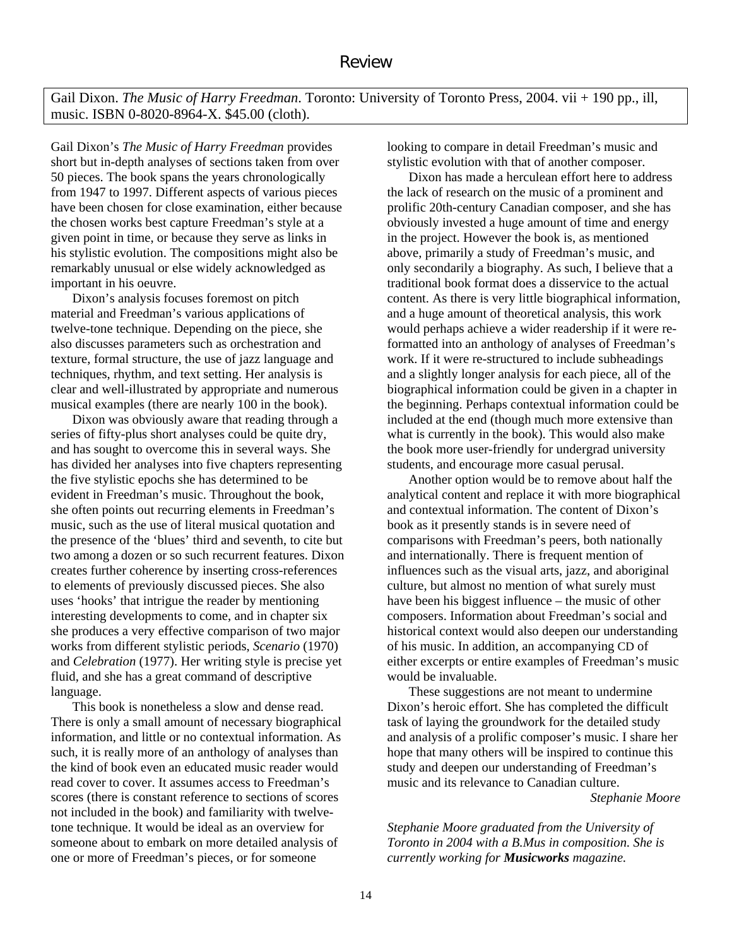Gail Dixon. *The Music of Harry Freedman*. Toronto: University of Toronto Press, 2004. vii + 190 pp., ill, music. ISBN 0-8020-8964-X. \$45.00 (cloth).

Gail Dixon's *The Music of Harry Freedman* provides short but in-depth analyses of sections taken from over 50 pieces. The book spans the years chronologically from 1947 to 1997. Different aspects of various pieces have been chosen for close examination, either because the chosen works best capture Freedman's style at a given point in time, or because they serve as links in his stylistic evolution. The compositions might also be remarkably unusual or else widely acknowledged as important in his oeuvre.

Dixon's analysis focuses foremost on pitch material and Freedman's various applications of twelve-tone technique. Depending on the piece, she also discusses parameters such as orchestration and texture, formal structure, the use of jazz language and techniques, rhythm, and text setting. Her analysis is clear and well-illustrated by appropriate and numerous musical examples (there are nearly 100 in the book).

Dixon was obviously aware that reading through a series of fifty-plus short analyses could be quite dry, and has sought to overcome this in several ways. She has divided her analyses into five chapters representing the five stylistic epochs she has determined to be evident in Freedman's music. Throughout the book, she often points out recurring elements in Freedman's music, such as the use of literal musical quotation and the presence of the 'blues' third and seventh, to cite but two among a dozen or so such recurrent features. Dixon creates further coherence by inserting cross-references to elements of previously discussed pieces. She also uses 'hooks' that intrigue the reader by mentioning interesting developments to come, and in chapter six she produces a very effective comparison of two major works from different stylistic periods, *Scenario* (1970) and *Celebration* (1977). Her writing style is precise yet fluid, and she has a great command of descriptive language.

This book is nonetheless a slow and dense read. There is only a small amount of necessary biographical information, and little or no contextual information. As such, it is really more of an anthology of analyses than the kind of book even an educated music reader would read cover to cover. It assumes access to Freedman's scores (there is constant reference to sections of scores not included in the book) and familiarity with twelvetone technique. It would be ideal as an overview for someone about to embark on more detailed analysis of one or more of Freedman's pieces, or for someone

looking to compare in detail Freedman's music and stylistic evolution with that of another composer.

Dixon has made a herculean effort here to address the lack of research on the music of a prominent and prolific 20th-century Canadian composer, and she has obviously invested a huge amount of time and energy in the project. However the book is, as mentioned above, primarily a study of Freedman's music, and only secondarily a biography. As such, I believe that a traditional book format does a disservice to the actual content. As there is very little biographical information, and a huge amount of theoretical analysis, this work would perhaps achieve a wider readership if it were reformatted into an anthology of analyses of Freedman's work. If it were re-structured to include subheadings and a slightly longer analysis for each piece, all of the biographical information could be given in a chapter in the beginning. Perhaps contextual information could be included at the end (though much more extensive than what is currently in the book). This would also make the book more user-friendly for undergrad university students, and encourage more casual perusal.

Another option would be to remove about half the analytical content and replace it with more biographical and contextual information. The content of Dixon's book as it presently stands is in severe need of comparisons with Freedman's peers, both nationally and internationally. There is frequent mention of influences such as the visual arts, jazz, and aboriginal culture, but almost no mention of what surely must have been his biggest influence – the music of other composers. Information about Freedman's social and historical context would also deepen our understanding of his music. In addition, an accompanying CD of either excerpts or entire examples of Freedman's music would be invaluable.

These suggestions are not meant to undermine Dixon's heroic effort. She has completed the difficult task of laying the groundwork for the detailed study and analysis of a prolific composer's music. I share her hope that many others will be inspired to continue this study and deepen our understanding of Freedman's music and its relevance to Canadian culture.

*Stephanie Moore* 

*Stephanie Moore graduated from the University of Toronto in 2004 with a B.Mus in composition. She is currently working for Musicworks magazine.*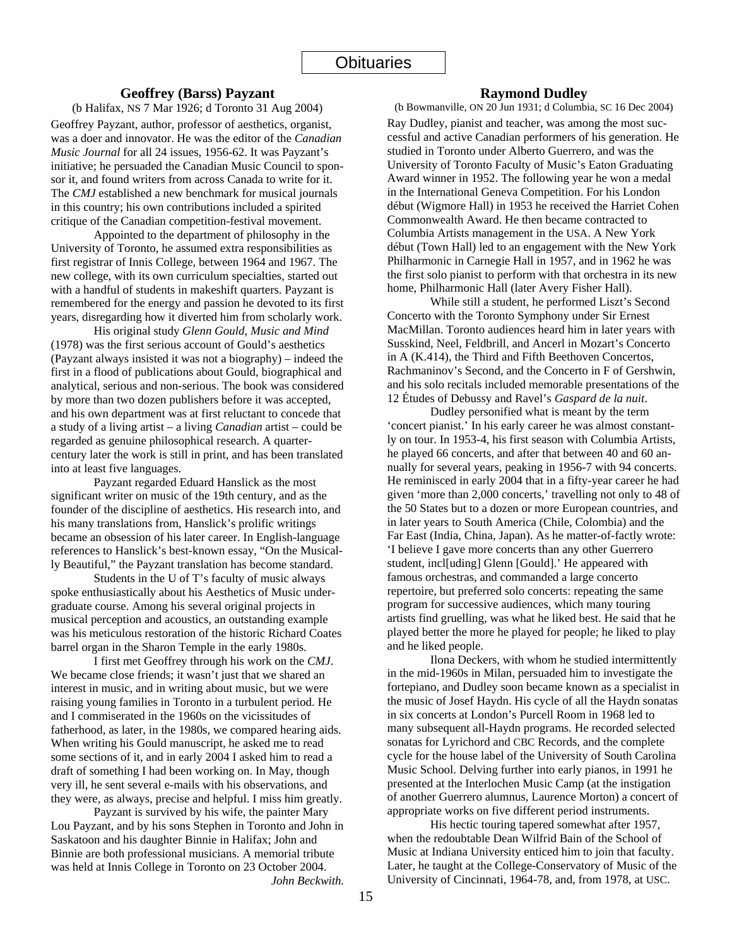#### **Geoffrey (Barss) Payzant**

(b Halifax, NS 7 Mar 1926; d Toronto 31 Aug 2004)

Geoffrey Payzant, author, professor of aesthetics, organist, was a doer and innovator. He was the editor of the *Canadian Music Journal* for all 24 issues, 1956-62. It was Payzant's initiative; he persuaded the Canadian Music Council to sponsor it, and found writers from across Canada to write for it. The *CMJ* established a new benchmark for musical journals in this country; his own contributions included a spirited critique of the Canadian competition-festival movement.

 Appointed to the department of philosophy in the University of Toronto, he assumed extra responsibilities as first registrar of Innis College, between 1964 and 1967. The new college, with its own curriculum specialties, started out with a handful of students in makeshift quarters. Payzant is remembered for the energy and passion he devoted to its first years, disregarding how it diverted him from scholarly work.

 His original study *Glenn Gould, Music and Mind* (1978) was the first serious account of Gould's aesthetics (Payzant always insisted it was not a biography) – indeed the first in a flood of publications about Gould, biographical and analytical, serious and non-serious. The book was considered by more than two dozen publishers before it was accepted, and his own department was at first reluctant to concede that a study of a living artist – a living *Canadian* artist – could be regarded as genuine philosophical research. A quartercentury later the work is still in print, and has been translated into at least five languages.

 Payzant regarded Eduard Hanslick as the most significant writer on music of the 19th century, and as the founder of the discipline of aesthetics. His research into, and his many translations from, Hanslick's prolific writings became an obsession of his later career. In English-language references to Hanslick's best-known essay, "On the Musically Beautiful," the Payzant translation has become standard.

Students in the U of T's faculty of music always spoke enthusiastically about his Aesthetics of Music undergraduate course. Among his several original projects in musical perception and acoustics, an outstanding example was his meticulous restoration of the historic Richard Coates barrel organ in the Sharon Temple in the early 1980s.

I first met Geoffrey through his work on the *CMJ*. We became close friends; it wasn't just that we shared an interest in music, and in writing about music, but we were raising young families in Toronto in a turbulent period. He and I commiserated in the 1960s on the vicissitudes of fatherhood, as later, in the 1980s, we compared hearing aids. When writing his Gould manuscript, he asked me to read some sections of it, and in early 2004 I asked him to read a draft of something I had been working on. In May, though very ill, he sent several e-mails with his observations, and they were, as always, precise and helpful. I miss him greatly.

Payzant is survived by his wife, the painter Mary Lou Payzant, and by his sons Stephen in Toronto and John in Saskatoon and his daughter Binnie in Halifax; John and Binnie are both professional musicians. A memorial tribute was held at Innis College in Toronto on 23 October 2004. *John Beckwith.* 

#### **Raymond Dudley**

(b Bowmanville, ON 20 Jun 1931; d Columbia, SC 16 Dec 2004) Ray Dudley, pianist and teacher, was among the most successful and active Canadian performers of his generation. He studied in Toronto under Alberto Guerrero, and was the University of Toronto Faculty of Music's Eaton Graduating Award winner in 1952. The following year he won a medal in the International Geneva Competition. For his London début (Wigmore Hall) in 1953 he received the Harriet Cohen Commonwealth Award. He then became contracted to Columbia Artists management in the USA. A New York début (Town Hall) led to an engagement with the New York Philharmonic in Carnegie Hall in 1957, and in 1962 he was the first solo pianist to perform with that orchestra in its new home, Philharmonic Hall (later Avery Fisher Hall).

While still a student, he performed Liszt's Second Concerto with the Toronto Symphony under Sir Ernest MacMillan. Toronto audiences heard him in later years with Susskind, Neel, Feldbrill, and Ancerl in Mozart's Concerto in A (K.414), the Third and Fifth Beethoven Concertos, Rachmaninov's Second, and the Concerto in F of Gershwin, and his solo recitals included memorable presentations of the 12 Études of Debussy and Ravel's *Gaspard de la nuit*.

Dudley personified what is meant by the term 'concert pianist.' In his early career he was almost constantly on tour. In 1953-4, his first season with Columbia Artists, he played 66 concerts, and after that between 40 and 60 annually for several years, peaking in 1956-7 with 94 concerts. He reminisced in early 2004 that in a fifty-year career he had given 'more than 2,000 concerts,' travelling not only to 48 of the 50 States but to a dozen or more European countries, and in later years to South America (Chile, Colombia) and the Far East (India, China, Japan). As he matter-of-factly wrote: 'I believe I gave more concerts than any other Guerrero student, incl[uding] Glenn [Gould].' He appeared with famous orchestras, and commanded a large concerto repertoire, but preferred solo concerts: repeating the same program for successive audiences, which many touring artists find gruelling, was what he liked best. He said that he played better the more he played for people; he liked to play and he liked people.

Ilona Deckers, with whom he studied intermittently in the mid-1960s in Milan, persuaded him to investigate the fortepiano, and Dudley soon became known as a specialist in the music of Josef Haydn. His cycle of all the Haydn sonatas in six concerts at London's Purcell Room in 1968 led to many subsequent all-Haydn programs. He recorded selected sonatas for Lyrichord and CBC Records, and the complete cycle for the house label of the University of South Carolina Music School. Delving further into early pianos, in 1991 he presented at the Interlochen Music Camp (at the instigation of another Guerrero alumnus, Laurence Morton) a concert of appropriate works on five different period instruments.

His hectic touring tapered somewhat after 1957, when the redoubtable Dean Wilfrid Bain of the School of Music at Indiana University enticed him to join that faculty. Later, he taught at the College-Conservatory of Music of the University of Cincinnati, 1964-78, and, from 1978, at USC.